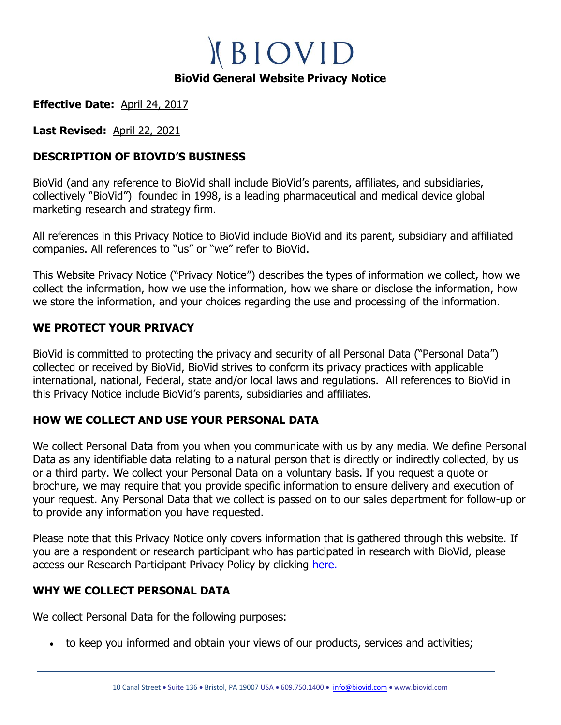**KBIOVID BioVid General Website Privacy Notice**

**Effective Date:** April 24, 2017

**Last Revised:** April 22, 2021

## **DESCRIPTION OF BIOVID'S BUSINESS**

BioVid (and any reference to BioVid shall include BioVid's parents, affiliates, and subsidiaries, collectively "BioVid") founded in 1998, is a leading pharmaceutical and medical device global marketing research and strategy firm.

All references in this Privacy Notice to BioVid include BioVid and its parent, subsidiary and affiliated companies. All references to "us" or "we" refer to BioVid.

This Website Privacy Notice ("Privacy Notice") describes the types of information we collect, how we collect the information, how we use the information, how we share or disclose the information, how we store the information, and your choices regarding the use and processing of the information.

## **WE PROTECT YOUR PRIVACY**

BioVid is committed to protecting the privacy and security of all Personal Data ("Personal Data") collected or received by BioVid, BioVid strives to conform its privacy practices with applicable international, national, Federal, state and/or local laws and regulations. All references to BioVid in this Privacy Notice include BioVid's parents, subsidiaries and affiliates.

## **HOW WE COLLECT AND USE YOUR PERSONAL DATA**

We collect Personal Data from you when you communicate with us by any media. We define Personal Data as any identifiable data relating to a natural person that is directly or indirectly collected, by us or a third party. We collect your Personal Data on a voluntary basis. If you request a quote or brochure, we may require that you provide specific information to ensure delivery and execution of your request. Any Personal Data that we collect is passed on to our sales department for follow-up or to provide any information you have requested.

Please note that this Privacy Notice only covers information that is gathered through this website. If you are a respondent or research participant who has participated in research with BioVid, please access our Research Participant Privacy Policy by clicking [here.](https://biovid.com/privacy_policy_respondents.html)

## **WHY WE COLLECT PERSONAL DATA**

We collect Personal Data for the following purposes:

• to keep you informed and obtain your views of our products, services and activities;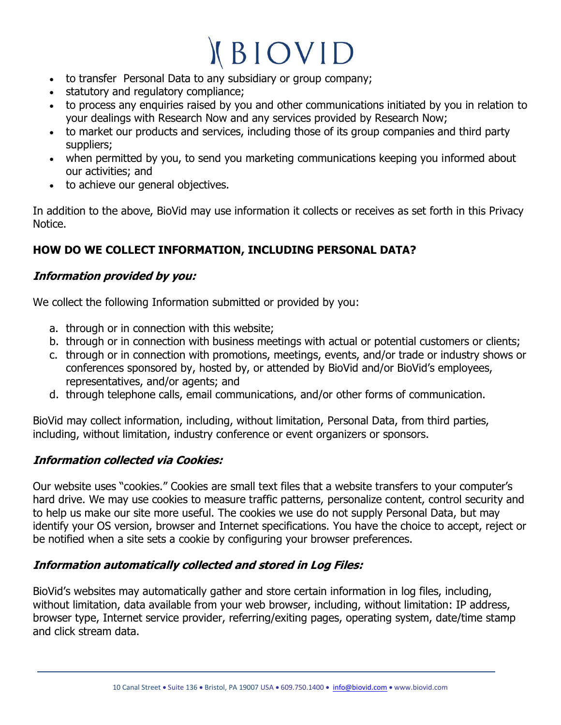- to transfer Personal Data to any subsidiary or group company;
- statutory and regulatory compliance;
- to process any enquiries raised by you and other communications initiated by you in relation to your dealings with Research Now and any services provided by Research Now;
- to market our products and services, including those of its group companies and third party suppliers;
- when permitted by you, to send you marketing communications keeping you informed about our activities; and
- to achieve our general objectives.

In addition to the above, BioVid may use information it collects or receives as set forth in this Privacy Notice.

# **HOW DO WE COLLECT INFORMATION, INCLUDING PERSONAL DATA?**

## **Information provided by you:**

We collect the following Information submitted or provided by you:

- a. through or in connection with this website;
- b. through or in connection with business meetings with actual or potential customers or clients;
- c. through or in connection with promotions, meetings, events, and/or trade or industry shows or conferences sponsored by, hosted by, or attended by BioVid and/or BioVid's employees, representatives, and/or agents; and
- d. through telephone calls, email communications, and/or other forms of communication.

BioVid may collect information, including, without limitation, Personal Data, from third parties, including, without limitation, industry conference or event organizers or sponsors.

# **Information collected via Cookies:**

Our website uses "cookies." Cookies are small text files that a website transfers to your computer's hard drive. We may use cookies to measure traffic patterns, personalize content, control security and to help us make our site more useful. The cookies we use do not supply Personal Data, but may identify your OS version, browser and Internet specifications. You have the choice to accept, reject or be notified when a site sets a cookie by configuring your browser preferences.

## **Information automatically collected and stored in Log Files:**

BioVid's websites may automatically gather and store certain information in log files, including, without limitation, data available from your web browser, including, without limitation: IP address, browser type, Internet service provider, referring/exiting pages, operating system, date/time stamp and click stream data.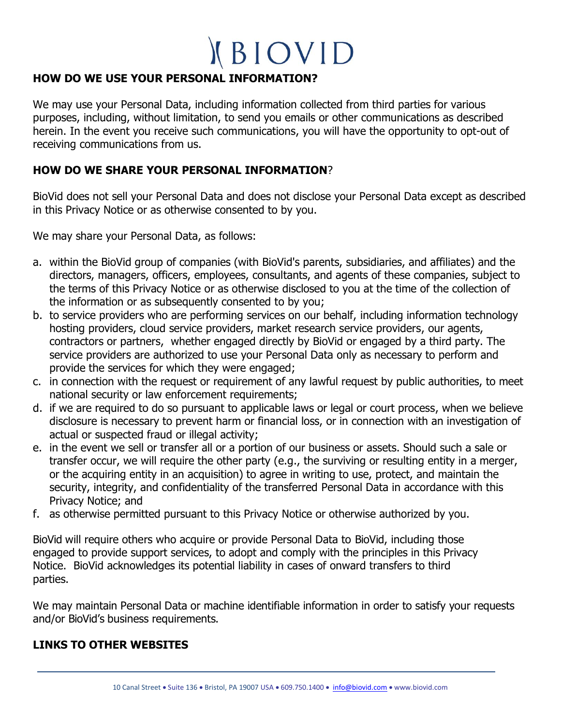## **HOW DO WE USE YOUR PERSONAL INFORMATION?**

We may use your Personal Data, including information collected from third parties for various purposes, including, without limitation, to send you emails or other communications as described herein. In the event you receive such communications, you will have the opportunity to opt-out of receiving communications from us.

### **HOW DO WE SHARE YOUR PERSONAL INFORMATION**?

BioVid does not sell your Personal Data and does not disclose your Personal Data except as described in this Privacy Notice or as otherwise consented to by you.

We may share your Personal Data, as follows:

- a. within the BioVid group of companies (with BioVid's parents, subsidiaries, and affiliates) and the directors, managers, officers, employees, consultants, and agents of these companies, subject to the terms of this Privacy Notice or as otherwise disclosed to you at the time of the collection of the information or as subsequently consented to by you;
- b. to service providers who are performing services on our behalf, including information technology hosting providers, cloud service providers, market research service providers, our agents, contractors or partners, whether engaged directly by BioVid or engaged by a third party. The service providers are authorized to use your Personal Data only as necessary to perform and provide the services for which they were engaged;
- c. in connection with the request or requirement of any lawful request by public authorities, to meet national security or law enforcement requirements;
- d. if we are required to do so pursuant to applicable laws or legal or court process, when we believe disclosure is necessary to prevent harm or financial loss, or in connection with an investigation of actual or suspected fraud or illegal activity;
- e. in the event we sell or transfer all or a portion of our business or assets. Should such a sale or transfer occur, we will require the other party (e.g., the surviving or resulting entity in a merger, or the acquiring entity in an acquisition) to agree in writing to use, protect, and maintain the security, integrity, and confidentiality of the transferred Personal Data in accordance with this Privacy Notice; and
- f. as otherwise permitted pursuant to this Privacy Notice or otherwise authorized by you.

BioVid will require others who acquire or provide Personal Data to BioVid, including those engaged to provide support services, to adopt and comply with the principles in this Privacy Notice. BioVid acknowledges its potential liability in cases of onward transfers to third parties.

We may maintain Personal Data or machine identifiable information in order to satisfy your requests and/or BioVid's business requirements.

#### **LINKS TO OTHER WEBSITES**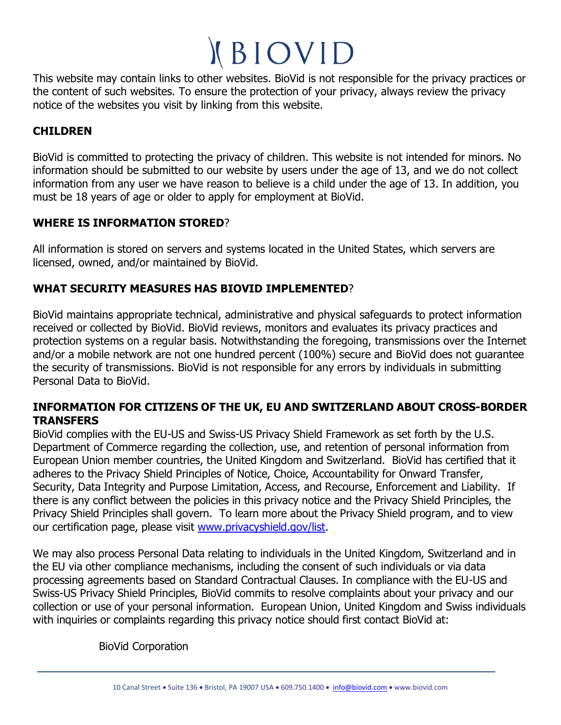This website may contain links to other websites. BioVid is not responsible for the privacy practices or the content of such websites. To ensure the protection of your privacy, always review the privacy notice of the websites you visit by linking from this website.

## **CHILDREN**

BioVid is committed to protecting the privacy of children. This website is not intended for minors. No information should be submitted to our website by users under the age of 13, and we do not collect information from any user we have reason to believe is a child under the age of 13. In addition, you must be 18 years of age or older to apply for employment at BioVid.

### **WHERE IS INFORMATION STORED**?

All information is stored on servers and systems located in the United States, which servers are licensed, owned, and/or maintained by BioVid.

## **WHAT SECURITY MEASURES HAS BIOVID IMPLEMENTED**?

BioVid maintains appropriate technical, administrative and physical safeguards to protect information received or collected by BioVid. BioVid reviews, monitors and evaluates its privacy practices and protection systems on a regular basis. Notwithstanding the foregoing, transmissions over the Internet and/or a mobile network are not one hundred percent (100%) secure and BioVid does not guarantee the security of transmissions. BioVid is not responsible for any errors by individuals in submitting Personal Data to BioVid.

#### **INFORMATION FOR CITIZENS OF THE UK, EU AND SWITZERLAND ABOUT CROSS-BORDER TRANSFERS**

BioVid complies with the EU-US and Swiss-US Privacy Shield Framework as set forth by the U.S. Department of Commerce regarding the collection, use, and retention of personal information from European Union member countries, the United Kingdom and Switzerland. BioVid has certified that it adheres to the Privacy Shield Principles of Notice, Choice, Accountability for Onward Transfer, Security, Data Integrity and Purpose Limitation, Access, and Recourse, Enforcement and Liability. If there is any conflict between the policies in this privacy notice and the Privacy Shield Principles, the Privacy Shield Principles shall govern. To learn more about the Privacy Shield program, and to view our certification page, please visit [www.privacyshield.gov/list.](http://www.privacyshield.gov/list)

We may also process Personal Data relating to individuals in the United Kingdom, Switzerland and in the EU via other compliance mechanisms, including the consent of such individuals or via data processing agreements based on Standard Contractual Clauses. In compliance with the EU-US and Swiss-US Privacy Shield Principles, BioVid commits to resolve complaints about your privacy and our collection or use of your personal information. European Union, United Kingdom and Swiss individuals with inquiries or complaints regarding this privacy notice should first contact BioVid at:

BioVid Corporation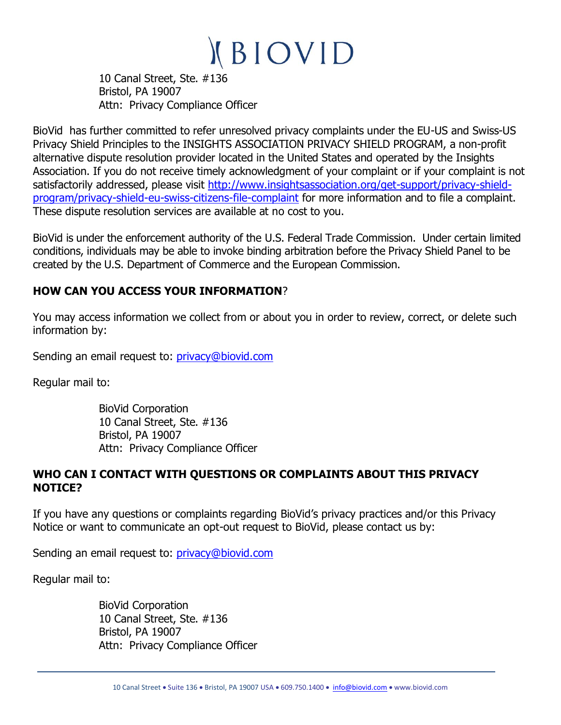10 Canal Street, Ste. #136 Bristol, PA 19007 Attn: Privacy Compliance Officer

BioVid has further committed to refer unresolved privacy complaints under the EU-US and Swiss-US Privacy Shield Principles to the INSIGHTS ASSOCIATION PRIVACY SHIELD PROGRAM, a non-profit alternative dispute resolution provider located in the United States and operated by the Insights Association. If you do not receive timely acknowledgment of your complaint or if your complaint is not satisfactorily addressed, please visit [http://www.insightsassociation.org/get-support/privacy-shield](http://www.insightsassociation.org/get-support/privacy-shield-program/privacy-shield-eu-swiss-citizens-file-complaint)[program/privacy-shield-eu-swiss-citizens-file-complaint](http://www.insightsassociation.org/get-support/privacy-shield-program/privacy-shield-eu-swiss-citizens-file-complaint) for more information and to file a complaint. These dispute resolution services are available at no cost to you.

BioVid is under the enforcement authority of the U.S. Federal Trade Commission. Under certain limited conditions, individuals may be able to invoke binding arbitration before the Privacy Shield Panel to be created by the U.S. Department of Commerce and the European Commission.

## **HOW CAN YOU ACCESS YOUR INFORMATION**?

You may access information we collect from or about you in order to review, correct, or delete such information by:

Sending an email request to: [privacy@biovid.com](mailto:privacy@biovid.com)

Regular mail to:

BioVid Corporation 10 Canal Street, Ste. #136 Bristol, PA 19007 Attn: Privacy Compliance Officer

### **WHO CAN I CONTACT WITH QUESTIONS OR COMPLAINTS ABOUT THIS PRIVACY NOTICE?**

If you have any questions or complaints regarding BioVid's privacy practices and/or this Privacy Notice or want to communicate an opt-out request to BioVid, please contact us by:

Sending an email request to: [privacy@biovid.com](mailto:privacy@biovid.com)

Regular mail to:

BioVid Corporation 10 Canal Street, Ste. #136 Bristol, PA 19007 Attn: Privacy Compliance Officer